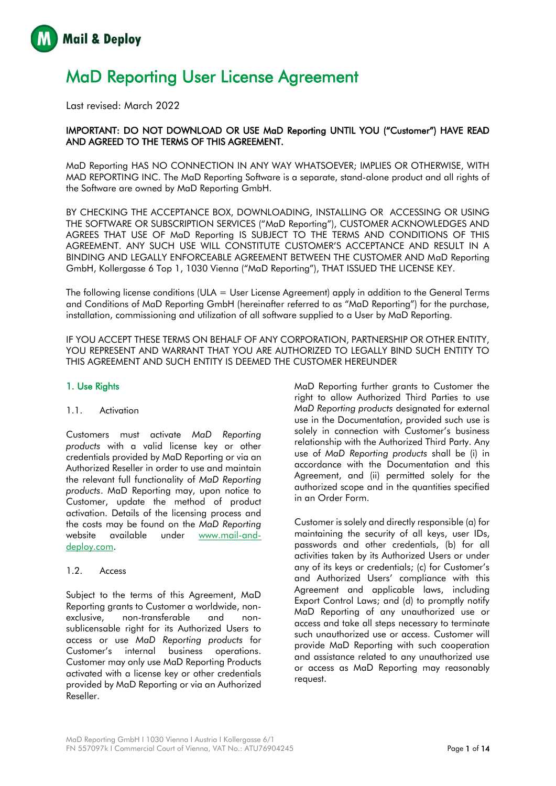

# MaD Reporting User License Agreement

Last revised: March 2022

## IMPORTANT: DO NOT DOWNLOAD OR USE MaD Reporting UNTIL YOU ("Customer") HAVE READ AND AGREED TO THE TERMS OF THIS AGREEMENT.

MaD Reporting HAS NO CONNECTION IN ANY WAY WHATSOEVER; IMPLIES OR OTHERWISE, WITH MAD REPORTING INC. The MaD Reporting Software is a separate, stand-alone product and all rights of the Software are owned by MaD Reporting GmbH.

BY CHECKING THE ACCEPTANCE BOX, DOWNLOADING, INSTALLING OR ACCESSING OR USING THE SOFTWARE OR SUBSCRIPTION SERVICES ("MaD Reporting"), CUSTOMER ACKNOWLEDGES AND AGREES THAT USE OF MaD Reporting IS SUBJECT TO THE TERMS AND CONDITIONS OF THIS AGREEMENT. ANY SUCH USE WILL CONSTITUTE CUSTOMER'S ACCEPTANCE AND RESULT IN A BINDING AND LEGALLY ENFORCEABLE AGREEMENT BETWEEN THE CUSTOMER AND MaD Reporting GmbH, Kollergasse 6 Top 1, 1030 Vienna ("MaD Reporting"), THAT ISSUED THE LICENSE KEY.

The following license conditions (ULA = User License Agreement) apply in addition to the General Terms and Conditions of MaD Reporting GmbH (hereinafter referred to as "MaD Reporting") for the purchase, installation, commissioning and utilization of all software supplied to a User by MaD Reporting.

IF YOU ACCEPT THESE TERMS ON BEHALF OF ANY CORPORATION, PARTNERSHIP OR OTHER ENTITY, YOU REPRESENT AND WARRANT THAT YOU ARE AUTHORIZED TO LEGALLY BIND SUCH ENTITY TO THIS AGREEMENT AND SUCH ENTITY IS DEEMED THE CUSTOMER HEREUNDER

## 1. Use Rights

## 1.1. Activation

Customers must activate *MaD Reporting products* with a valid license key or other credentials provided by MaD Reporting or via an Authorized Reseller in order to use and maintain the relevant full functionality of *MaD Reporting products*. MaD Reporting may, upon notice to Customer, update the method of product activation. Details of the licensing process and the costs may be found on the *MaD Reporting*  website available under [www.mail-and](http://www.mail-and-deploy.com/)[deploy.com.](http://www.mail-and-deploy.com/)

## 1.2. Access

Subject to the terms of this Agreement, MaD Reporting grants to Customer a worldwide, nonexclusive, non-transferable and nonsublicensable right for its Authorized Users to access or use *MaD Reporting products* for Customer's internal business operations. Customer may only use MaD Reporting Products activated with a license key or other credentials provided by MaD Reporting or via an Authorized Reseller.

MaD Reporting further grants to Customer the right to allow Authorized Third Parties to use *MaD Reporting products* designated for external use in the Documentation, provided such use is solely in connection with Customer's business relationship with the Authorized Third Party. Any use of *MaD Reporting products* shall be (i) in accordance with the Documentation and this Agreement, and (ii) permitted solely for the authorized scope and in the quantities specified in an Order Form.

Customer is solely and directly responsible (a) for maintaining the security of all keys, user IDs, passwords and other credentials, (b) for all activities taken by its Authorized Users or under any of its keys or credentials; (c) for Customer's and Authorized Users' compliance with this Agreement and applicable laws, including Export Control Laws; and (d) to promptly notify MaD Reporting of any unauthorized use or access and take all steps necessary to terminate such unauthorized use or access. Customer will provide MaD Reporting with such cooperation and assistance related to any unauthorized use or access as MaD Reporting may reasonably request.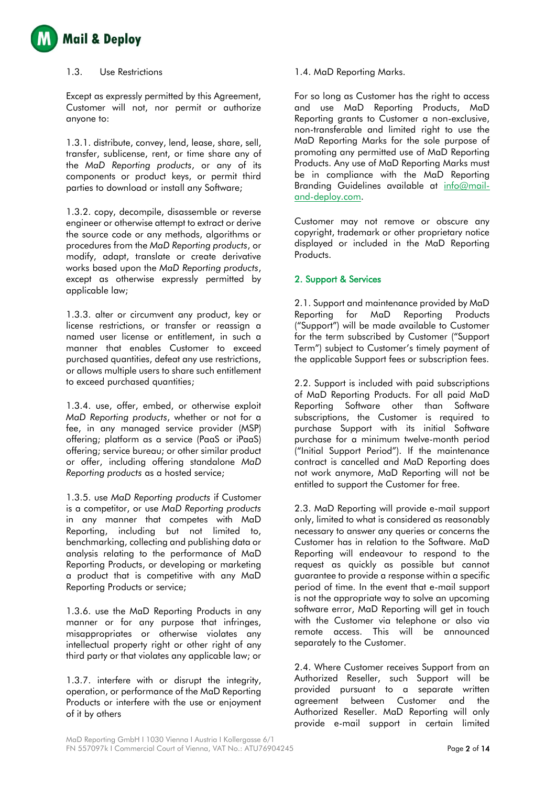

#### 1.3. Use Restrictions

Except as expressly permitted by this Agreement, Customer will not, nor permit or authorize anyone to:

1.3.1. distribute, convey, lend, lease, share, sell, transfer, sublicense, rent, or time share any of the *MaD Reporting products*, or any of its components or product keys, or permit third parties to download or install any Software;

1.3.2. copy, decompile, disassemble or reverse engineer or otherwise attempt to extract or derive the source code or any methods, algorithms or procedures from the *MaD Reporting products*, or modify, adapt, translate or create derivative works based upon the *MaD Reporting products*, except as otherwise expressly permitted by applicable law;

1.3.3. alter or circumvent any product, key or license restrictions, or transfer or reassign a named user license or entitlement, in such a manner that enables Customer to exceed purchased quantities, defeat any use restrictions, or allows multiple users to share such entitlement to exceed purchased quantities;

1.3.4. use, offer, embed, or otherwise exploit *MaD Reporting products*, whether or not for a fee, in any managed service provider (MSP) offering; platform as a service (PaaS or iPaaS) offering; service bureau; or other similar product or offer, including offering standalone *MaD Reporting products* as a hosted service;

1.3.5. use *MaD Reporting products* if Customer is a competitor, or use *MaD Reporting products* in any manner that competes with MaD Reporting, including but not limited to, benchmarking, collecting and publishing data or analysis relating to the performance of MaD Reporting Products, or developing or marketing a product that is competitive with any MaD Reporting Products or service;

1.3.6. use the MaD Reporting Products in any manner or for any purpose that infringes, misappropriates or otherwise violates any intellectual property right or other right of any third party or that violates any applicable law; or

1.3.7. interfere with or disrupt the integrity, operation, or performance of the MaD Reporting Products or interfere with the use or enjoyment of it by others

### 1.4. MaD Reporting Marks.

For so long as Customer has the right to access and use MaD Reporting Products, MaD Reporting grants to Customer a non-exclusive, non-transferable and limited right to use the MaD Reporting Marks for the sole purpose of promoting any permitted use of MaD Reporting Products. Any use of MaD Reporting Marks must be in compliance with the MaD Reporting Branding Guidelines available at [info@mail](mailto:info@mail-and-deploy.com)[and-deploy.com.](mailto:info@mail-and-deploy.com)

Customer may not remove or obscure any copyright, trademark or other proprietary notice displayed or included in the MaD Reporting Products.

## 2. Support & Services

2.1. Support and maintenance provided by MaD Reporting for MaD Reporting Products ("Support") will be made available to Customer for the term subscribed by Customer ("Support Term") subject to Customer's timely payment of the applicable Support fees or subscription fees.

2.2. Support is included with paid subscriptions of MaD Reporting Products. For all paid MaD Reporting Software other than Software subscriptions, the Customer is required to purchase Support with its initial Software purchase for a minimum twelve-month period ("Initial Support Period"). If the maintenance contract is cancelled and MaD Reporting does not work anymore, MaD Reporting will not be entitled to support the Customer for free.

2.3. MaD Reporting will provide e-mail support only, limited to what is considered as reasonably necessary to answer any queries or concerns the Customer has in relation to the Software. MaD Reporting will endeavour to respond to the request as quickly as possible but cannot guarantee to provide a response within a specific period of time. In the event that e-mail support is not the appropriate way to solve an upcoming software error, MaD Reporting will get in touch with the Customer via telephone or also via remote access. This will be announced separately to the Customer.

2.4. Where Customer receives Support from an Authorized Reseller, such Support will be provided pursuant to a separate written agreement between Customer and the Authorized Reseller. MaD Reporting will only provide e-mail support in certain limited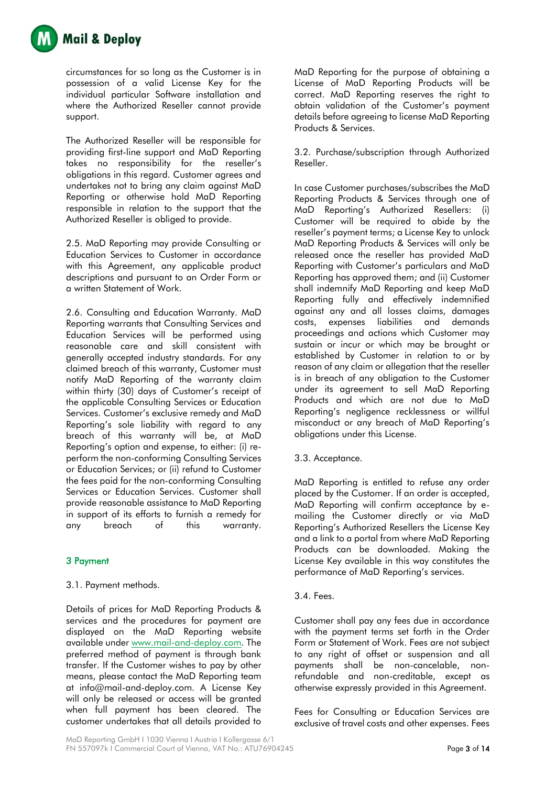

circumstances for so long as the Customer is in possession of a valid License Key for the individual particular Software installation and where the Authorized Reseller cannot provide support.

The Authorized Reseller will be responsible for providing first-line support and MaD Reporting takes no responsibility for the reseller's obligations in this regard. Customer agrees and undertakes not to bring any claim against MaD Reporting or otherwise hold MaD Reporting responsible in relation to the support that the Authorized Reseller is obliged to provide.

2.5. MaD Reporting may provide Consulting or Education Services to Customer in accordance with this Agreement, any applicable product descriptions and pursuant to an Order Form or a written Statement of Work.

2.6. Consulting and Education Warranty. MaD Reporting warrants that Consulting Services and Education Services will be performed using reasonable care and skill consistent with generally accepted industry standards. For any claimed breach of this warranty, Customer must notify MaD Reporting of the warranty claim within thirty (30) days of Customer's receipt of the applicable Consulting Services or Education Services. Customer's exclusive remedy and MaD Reporting's sole liability with regard to any breach of this warranty will be, at MaD Reporting's option and expense, to either: (i) reperform the non-conforming Consulting Services or Education Services; or (ii) refund to Customer the fees paid for the non-conforming Consulting Services or Education Services. Customer shall provide reasonable assistance to MaD Reporting in support of its efforts to furnish a remedy for any breach of this warranty.

# 3 Payment

# 3.1. Payment methods.

Details of prices for MaD Reporting Products & services and the procedures for payment are displayed on the MaD Reporting website available under [www.mail-and-deploy.com.](http://www.mail-and-deploy.com/) The preferred method of payment is through bank transfer. If the Customer wishes to pay by other means, please contact the MaD Reporting team at info@mail-and-deploy.com. A License Key will only be released or access will be granted when full payment has been cleared. The customer undertakes that all details provided to

MaD Reporting for the purpose of obtaining a License of MaD Reporting Products will be correct. MaD Reporting reserves the right to obtain validation of the Customer's payment details before agreeing to license MaD Reporting Products & Services.

3.2. Purchase/subscription through Authorized Reseller.

In case Customer purchases/subscribes the MaD Reporting Products & Services through one of MaD Reporting's Authorized Resellers: (i) Customer will be required to abide by the reseller's payment terms; a License Key to unlock MaD Reporting Products & Services will only be released once the reseller has provided MaD Reporting with Customer's particulars and MaD Reporting has approved them; and (ii) Customer shall indemnify MaD Reporting and keep MaD Reporting fully and effectively indemnified against any and all losses claims, damages costs, expenses liabilities and demands proceedings and actions which Customer may sustain or incur or which may be brought or established by Customer in relation to or by reason of any claim or allegation that the reseller is in breach of any obligation to the Customer under its agreement to sell MaD Reporting Products and which are not due to MaD Reporting's negligence recklessness or willful misconduct or any breach of MaD Reporting's obligations under this License.

## 3.3. Acceptance.

MaD Reporting is entitled to refuse any order placed by the Customer. If an order is accepted, MaD Reporting will confirm acceptance by emailing the Customer directly or via MaD Reporting's Authorized Resellers the License Key and a link to a portal from where MaD Reporting Products can be downloaded. Making the License Key available in this way constitutes the performance of MaD Reporting's services.

## 3.4. Fees.

Customer shall pay any fees due in accordance with the payment terms set forth in the Order Form or Statement of Work. Fees are not subject to any right of offset or suspension and all payments shall be non-cancelable, nonrefundable and non-creditable, except as otherwise expressly provided in this Agreement.

Fees for Consulting or Education Services are exclusive of travel costs and other expenses. Fees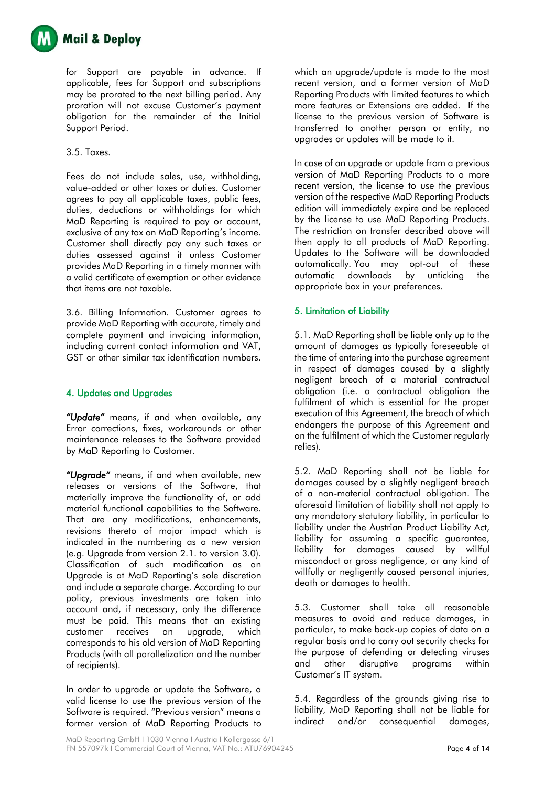

for Support are payable in advance. If applicable, fees for Support and subscriptions may be prorated to the next billing period. Any proration will not excuse Customer's payment obligation for the remainder of the Initial Support Period.

### 3.5. Taxes.

Fees do not include sales, use, withholding, value-added or other taxes or duties. Customer agrees to pay all applicable taxes, public fees, duties, deductions or withholdings for which MaD Reporting is required to pay or account, exclusive of any tax on MaD Reporting's income. Customer shall directly pay any such taxes or duties assessed against it unless Customer provides MaD Reporting in a timely manner with a valid certificate of exemption or other evidence that items are not taxable.

3.6. Billing Information. Customer agrees to provide MaD Reporting with accurate, timely and complete payment and invoicing information, including current contact information and VAT, GST or other similar tax identification numbers.

## 4. Updates and Upgrades

*"Update"* means, if and when available, any Error corrections, fixes, workarounds or other maintenance releases to the Software provided by MaD Reporting to Customer.

*"Upgrade"* means, if and when available, new releases or versions of the Software, that materially improve the functionality of, or add material functional capabilities to the Software. That are any modifications, enhancements, revisions thereto of major impact which is indicated in the numbering as a new version (e.g. Upgrade from version 2.1. to version 3.0). Classification of such modification as an Upgrade is at MaD Reporting's sole discretion and include a separate charge. According to our policy, previous investments are taken into account and, if necessary, only the difference must be paid. This means that an existing customer receives an upgrade, which corresponds to his old version of MaD Reporting Products (with all parallelization and the number of recipients).

In order to upgrade or update the Software, a valid license to use the previous version of the Software is required. "Previous version" means a former version of MaD Reporting Products to which an upgrade/update is made to the most recent version, and a former version of MaD Reporting Products with limited features to which more features or Extensions are added. If the license to the previous version of Software is transferred to another person or entity, no upgrades or updates will be made to it.

In case of an upgrade or update from a previous version of MaD Reporting Products to a more recent version, the license to use the previous version of the respective MaD Reporting Products edition will immediately expire and be replaced by the license to use MaD Reporting Products. The restriction on transfer described above will then apply to all products of MaD Reporting. Updates to the Software will be downloaded automatically. You may opt-out of these automatic downloads by unticking the appropriate box in your preferences.

## 5. Limitation of Liability

5.1. MaD Reporting shall be liable only up to the amount of damages as typically foreseeable at the time of entering into the purchase agreement in respect of damages caused by a slightly negligent breach of a material contractual obligation (i.e. a contractual obligation the fulfilment of which is essential for the proper execution of this Agreement, the breach of which endangers the purpose of this Agreement and on the fulfilment of which the Customer regularly relies).

5.2. MaD Reporting shall not be liable for damages caused by a slightly negligent breach of a non-material contractual obligation. The aforesaid limitation of liability shall not apply to any mandatory statutory liability, in particular to liability under the Austrian Product Liability Act, liability for assuming a specific guarantee, liability for damages caused by willful misconduct or gross negligence, or any kind of willfully or negligently caused personal injuries, death or damages to health.

5.3. Customer shall take all reasonable measures to avoid and reduce damages, in particular, to make back-up copies of data on a regular basis and to carry out security checks for the purpose of defending or detecting viruses and other disruptive programs within Customer's IT system.

5.4. Regardless of the grounds giving rise to liability, MaD Reporting shall not be liable for indirect and/or consequential damages,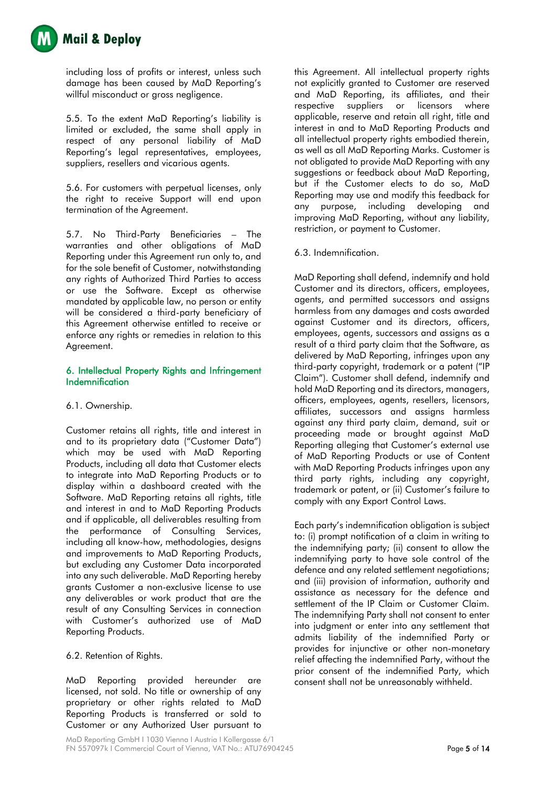

including loss of profits or interest, unless such damage has been caused by MaD Reporting's willful misconduct or gross negligence.

5.5. To the extent MaD Reporting's liability is limited or excluded, the same shall apply in respect of any personal liability of MaD Reporting's legal representatives, employees, suppliers, resellers and vicarious agents.

5.6. For customers with perpetual licenses, only the right to receive Support will end upon termination of the Agreement.

5.7. No Third-Party Beneficiaries – The warranties and other obligations of MaD Reporting under this Agreement run only to, and for the sole benefit of Customer, notwithstanding any rights of Authorized Third Parties to access or use the Software. Except as otherwise mandated by applicable law, no person or entity will be considered a third-party beneficiary of this Agreement otherwise entitled to receive or enforce any rights or remedies in relation to this Agreement.

## 6. Intellectual Property Rights and Infringement Indemnification

## 6.1. Ownership.

Customer retains all rights, title and interest in and to its proprietary data ("Customer Data") which may be used with MaD Reporting Products, including all data that Customer elects to integrate into MaD Reporting Products or to display within a dashboard created with the Software. MaD Reporting retains all rights, title and interest in and to MaD Reporting Products and if applicable, all deliverables resulting from the performance of Consulting Services, including all know-how, methodologies, designs and improvements to MaD Reporting Products, but excluding any Customer Data incorporated into any such deliverable. MaD Reporting hereby grants Customer a non-exclusive license to use any deliverables or work product that are the result of any Consulting Services in connection with Customer's authorized use of MaD Reporting Products.

## 6.2. Retention of Rights.

MaD Reporting provided hereunder are licensed, not sold. No title or ownership of any proprietary or other rights related to MaD Reporting Products is transferred or sold to Customer or any Authorized User pursuant to this Agreement. All intellectual property rights not explicitly granted to Customer are reserved and MaD Reporting, its affiliates, and their respective suppliers or licensors where applicable, reserve and retain all right, title and interest in and to MaD Reporting Products and all intellectual property rights embodied therein, as well as all MaD Reporting Marks. Customer is not obligated to provide MaD Reporting with any suggestions or feedback about MaD Reporting, but if the Customer elects to do so, MaD Reporting may use and modify this feedback for any purpose, including developing and improving MaD Reporting, without any liability, restriction, or payment to Customer.

6.3. Indemnification.

MaD Reporting shall defend, indemnify and hold Customer and its directors, officers, employees, agents, and permitted successors and assigns harmless from any damages and costs awarded against Customer and its directors, officers, employees, agents, successors and assigns as a result of a third party claim that the Software, as delivered by MaD Reporting, infringes upon any third-party copyright, trademark or a patent ("IP Claim"). Customer shall defend, indemnify and hold MaD Reporting and its directors, managers, officers, employees, agents, resellers, licensors, affiliates, successors and assigns harmless against any third party claim, demand, suit or proceeding made or brought against MaD Reporting alleging that Customer's external use of MaD Reporting Products or use of Content with MaD Reporting Products infringes upon any third party rights, including any copyright, trademark or patent, or (ii) Customer's failure to comply with any Export Control Laws.

Each party's indemnification obligation is subject to: (i) prompt notification of a claim in writing to the indemnifying party; (ii) consent to allow the indemnifying party to have sole control of the defence and any related settlement negotiations; and (iii) provision of information, authority and assistance as necessary for the defence and settlement of the IP Claim or Customer Claim. The indemnifying Party shall not consent to enter into judgment or enter into any settlement that admits liability of the indemnified Party or provides for injunctive or other non-monetary relief affecting the indemnified Party, without the prior consent of the indemnified Party, which consent shall not be unreasonably withheld.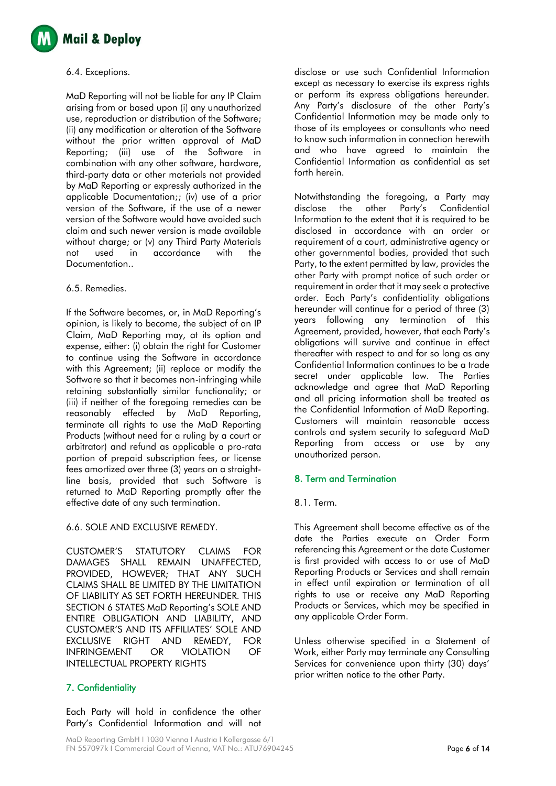

#### 6.4. Exceptions.

MaD Reporting will not be liable for any IP Claim arising from or based upon (i) any unauthorized use, reproduction or distribution of the Software; (ii) any modification or alteration of the Software without the prior written approval of MaD Reporting; (iii) use of the Software in combination with any other software, hardware, third-party data or other materials not provided by MaD Reporting or expressly authorized in the applicable Documentation;; (iv) use of a prior version of the Software, if the use of a newer version of the Software would have avoided such claim and such newer version is made available without charge; or (v) any Third Party Materials not used in accordance with the Documentation..

#### 6.5. Remedies.

If the Software becomes, or, in MaD Reporting's opinion, is likely to become, the subject of an IP Claim, MaD Reporting may, at its option and expense, either: (i) obtain the right for Customer to continue using the Software in accordance with this Agreement; (ii) replace or modify the Software so that it becomes non-infringing while retaining substantially similar functionality; or (iii) if neither of the foregoing remedies can be reasonably effected by MaD Reporting, terminate all rights to use the MaD Reporting Products (without need for a ruling by a court or arbitrator) and refund as applicable a pro-rata portion of prepaid subscription fees, or license fees amortized over three (3) years on a straightline basis, provided that such Software is returned to MaD Reporting promptly after the effective date of any such termination.

## 6.6. SOLE AND EXCLUSIVE REMEDY.

CUSTOMER'S STATUTORY CLAIMS FOR DAMAGES SHALL REMAIN UNAFFECTED, PROVIDED, HOWEVER; THAT ANY SUCH CLAIMS SHALL BE LIMITED BY THE LIMITATION OF LIABILITY AS SET FORTH HEREUNDER. THIS SECTION 6 STATES MaD Reporting's SOLE AND ENTIRE OBLIGATION AND LIABILITY, AND CUSTOMER'S AND ITS AFFILIATES' SOLE AND EXCLUSIVE RIGHT AND REMEDY, FOR INFRINGEMENT OR VIOLATION OF INTELLECTUAL PROPERTY RIGHTS

# 7. Confidentiality

Each Party will hold in confidence the other Party's Confidential Information and will not

disclose or use such Confidential Information except as necessary to exercise its express rights or perform its express obligations hereunder. Any Party's disclosure of the other Party's Confidential Information may be made only to those of its employees or consultants who need to know such information in connection herewith and who have agreed to maintain the Confidential Information as confidential as set forth herein.

Notwithstanding the foregoing, a Party may disclose the other Party's Confidential Information to the extent that it is required to be disclosed in accordance with an order or requirement of a court, administrative agency or other governmental bodies, provided that such Party, to the extent permitted by law, provides the other Party with prompt notice of such order or requirement in order that it may seek a protective order. Each Party's confidentiality obligations hereunder will continue for a period of three (3) years following any termination of this Agreement, provided, however, that each Party's obligations will survive and continue in effect thereafter with respect to and for so long as any Confidential Information continues to be a trade secret under applicable law. The Parties acknowledge and agree that MaD Reporting and all pricing information shall be treated as the Confidential Information of MaD Reporting. Customers will maintain reasonable access controls and system security to safeguard MaD Reporting from access or use by any unauthorized person.

## 8. Term and Termination

## 8.1. Term.

This Agreement shall become effective as of the date the Parties execute an Order Form referencing this Agreement or the date Customer is first provided with access to or use of MaD Reporting Products or Services and shall remain in effect until expiration or termination of all rights to use or receive any MaD Reporting Products or Services, which may be specified in any applicable Order Form.

Unless otherwise specified in a Statement of Work, either Party may terminate any Consulting Services for convenience upon thirty (30) days' prior written notice to the other Party.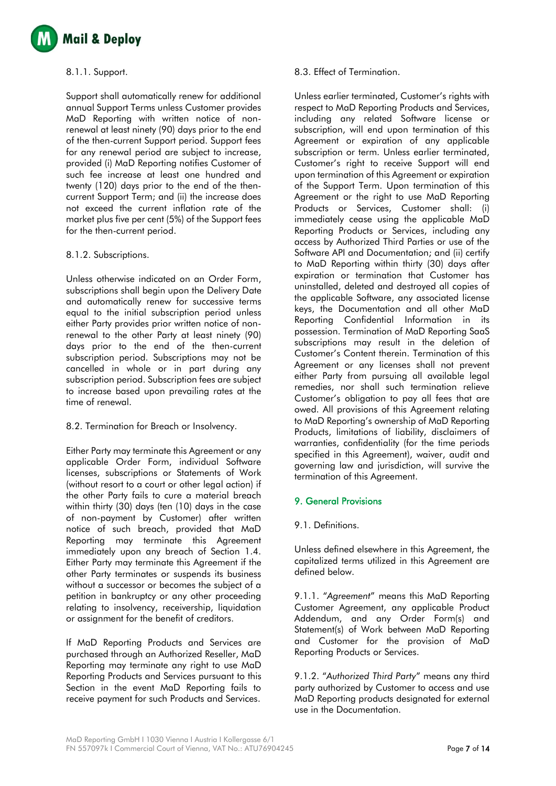

#### 8.1.1. Support.

Support shall automatically renew for additional annual Support Terms unless Customer provides MaD Reporting with written notice of nonrenewal at least ninety (90) days prior to the end of the then-current Support period. Support fees for any renewal period are subject to increase, provided (i) MaD Reporting notifies Customer of such fee increase at least one hundred and twenty (120) days prior to the end of the thencurrent Support Term; and (ii) the increase does not exceed the current inflation rate of the market plus five per cent (5%) of the Support fees for the then-current period.

#### 8.1.2. Subscriptions.

Unless otherwise indicated on an Order Form, subscriptions shall begin upon the Delivery Date and automatically renew for successive terms equal to the initial subscription period unless either Party provides prior written notice of nonrenewal to the other Party at least ninety (90) days prior to the end of the then-current subscription period. Subscriptions may not be cancelled in whole or in part during any subscription period. Subscription fees are subject to increase based upon prevailing rates at the time of renewal.

## 8.2. Termination for Breach or Insolvency.

Either Party may terminate this Agreement or any applicable Order Form, individual Software licenses, subscriptions or Statements of Work (without resort to a court or other legal action) if the other Party fails to cure a material breach within thirty (30) days (ten (10) days in the case of non-payment by Customer) after written notice of such breach, provided that MaD Reporting may terminate this Agreement immediately upon any breach of Section 1.4. Either Party may terminate this Agreement if the other Party terminates or suspends its business without a successor or becomes the subject of a petition in bankruptcy or any other proceeding relating to insolvency, receivership, liquidation or assignment for the benefit of creditors.

If MaD Reporting Products and Services are purchased through an Authorized Reseller, MaD Reporting may terminate any right to use MaD Reporting Products and Services pursuant to this Section in the event MaD Reporting fails to receive payment for such Products and Services.

#### 8.3. Effect of Termination.

Unless earlier terminated, Customer's rights with respect to MaD Reporting Products and Services, including any related Software license or subscription, will end upon termination of this Agreement or expiration of any applicable subscription or term. Unless earlier terminated, Customer's right to receive Support will end upon termination of this Agreement or expiration of the Support Term. Upon termination of this Agreement or the right to use MaD Reporting Products or Services, Customer shall: (i) immediately cease using the applicable MaD Reporting Products or Services, including any access by Authorized Third Parties or use of the Software API and Documentation; and (ii) certify to MaD Reporting within thirty (30) days after expiration or termination that Customer has uninstalled, deleted and destroyed all copies of the applicable Software, any associated license keys, the Documentation and all other MaD Reporting Confidential Information in its possession. Termination of MaD Reporting SaaS subscriptions may result in the deletion of Customer's Content therein. Termination of this Agreement or any licenses shall not prevent either Party from pursuing all available legal remedies, nor shall such termination relieve Customer's obligation to pay all fees that are owed. All provisions of this Agreement relating to MaD Reporting's ownership of MaD Reporting Products, limitations of liability, disclaimers of warranties, confidentiality (for the time periods specified in this Agreement), waiver, audit and governing law and jurisdiction, will survive the termination of this Agreement.

## 9. General Provisions

## 9.1. Definitions.

Unless defined elsewhere in this Agreement, the capitalized terms utilized in this Agreement are defined below.

9.1.1. "*Agreement*" means this MaD Reporting Customer Agreement, any applicable Product Addendum, and any Order Form(s) and Statement(s) of Work between MaD Reporting and Customer for the provision of MaD Reporting Products or Services.

9.1.2. "*Authorized Third Party*" means any third party authorized by Customer to access and use MaD Reporting products designated for external use in the Documentation.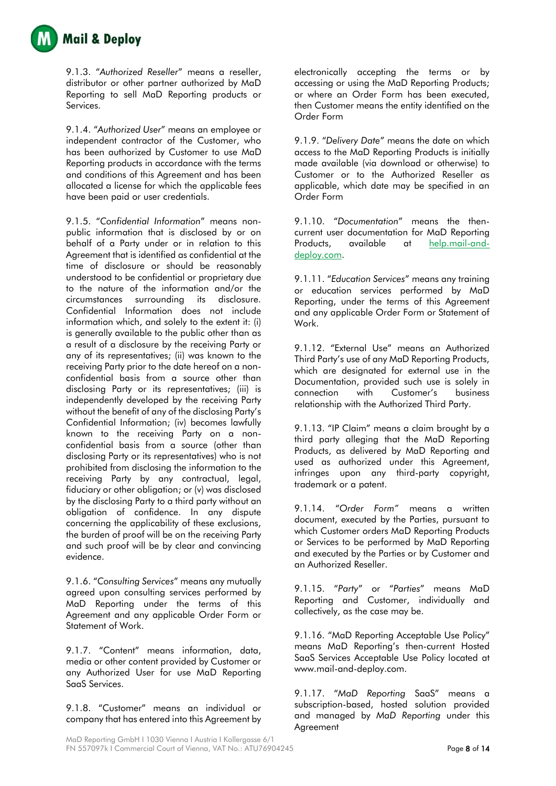

9.1.3. "*Authorized Reseller*" means a reseller, distributor or other partner authorized by MaD Reporting to sell MaD Reporting products or Services.

9.1.4. "*Authorized User*" means an employee or independent contractor of the Customer, who has been authorized by Customer to use MaD Reporting products in accordance with the terms and conditions of this Agreement and has been allocated a license for which the applicable fees have been paid or user credentials.

9.1.5. "*Confidential Information*" means nonpublic information that is disclosed by or on behalf of a Party under or in relation to this Agreement that is identified as confidential at the time of disclosure or should be reasonably understood to be confidential or proprietary due to the nature of the information and/or the circumstances surrounding its disclosure. Confidential Information does not include information which, and solely to the extent it: (i) is generally available to the public other than as a result of a disclosure by the receiving Party or any of its representatives; (ii) was known to the receiving Party prior to the date hereof on a nonconfidential basis from a source other than disclosing Party or its representatives; (iii) is independently developed by the receiving Party without the benefit of any of the disclosing Party's Confidential Information; (iv) becomes lawfully known to the receiving Party on a nonconfidential basis from a source (other than disclosing Party or its representatives) who is not prohibited from disclosing the information to the receiving Party by any contractual, legal, fiduciary or other obligation; or (v) was disclosed by the disclosing Party to a third party without an obligation of confidence. In any dispute concerning the applicability of these exclusions, the burden of proof will be on the receiving Party and such proof will be by clear and convincing evidence.

9.1.6. "*Consulting Services*" means any mutually agreed upon consulting services performed by MaD Reporting under the terms of this Agreement and any applicable Order Form or Statement of Work.

9.1.7. "Content" means information, data, media or other content provided by Customer or any Authorized User for use MaD Reporting SaaS Services.

9.1.8. "Customer" means an individual or company that has entered into this Agreement by

electronically accepting the terms or by accessing or using the MaD Reporting Products; or where an Order Form has been executed, then Customer means the entity identified on the Order Form

9.1.9. "*Delivery Date*" means the date on which access to the MaD Reporting Products is initially made available (via download or otherwise) to Customer or to the Authorized Reseller as applicable, which date may be specified in an Order Form

9.1.10. "*Documentation*" means the thencurrent user documentation for MaD Reporting Products, available at help.mail-anddeploy.com.

9.1.11. "*Education Services*" means any training or education services performed by MaD Reporting, under the terms of this Agreement and any applicable Order Form or Statement of Work.

9.1.12. "External Use" means an Authorized Third Party's use of any MaD Reporting Products, which are designated for external use in the Documentation, provided such use is solely in connection with Customer's business relationship with the Authorized Third Party.

9.1.13. "IP Claim" means a claim brought by a third party alleging that the MaD Reporting Products, as delivered by MaD Reporting and used as authorized under this Agreement, infringes upon any third-party copyright, trademark or a patent.

9.1.14. "*Order Form"* means a written document, executed by the Parties, pursuant to which Customer orders MaD Reporting Products or Services to be performed by MaD Reporting and executed by the Parties or by Customer and an Authorized Reseller.

9.1.15. "*Party*" or "*Parties*" means MaD Reporting and Customer, individually and collectively, as the case may be.

9.1.16. "MaD Reporting Acceptable Use Policy" means MaD Reporting's then-current Hosted SaaS Services Acceptable Use Policy located at www.mail-and-deploy.com.

9.1.17. "*MaD Reporting* SaaS" means a subscription-based, hosted solution provided and managed by *MaD Reporting* under this Agreement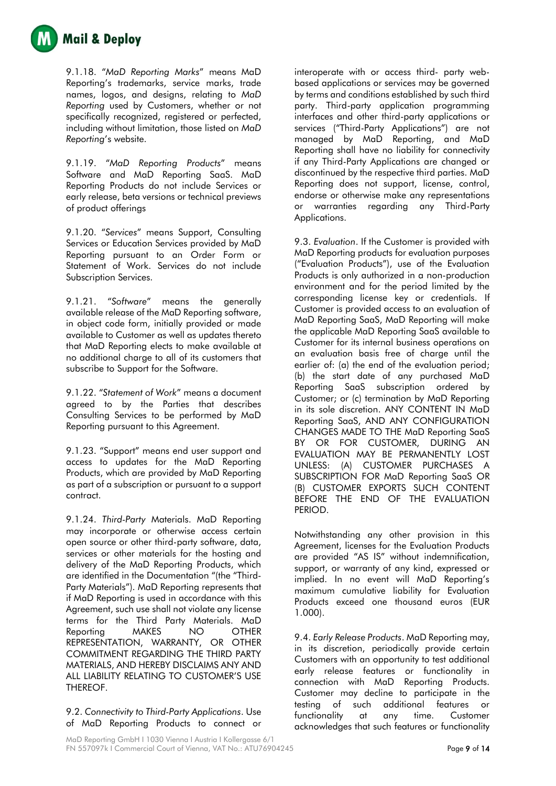

9.1.18. "*MaD Reporting Marks*" means MaD Reporting's trademarks, service marks, trade names, logos, and designs, relating to *MaD Reporting* used by Customers, whether or not specifically recognized, registered or perfected, including without limitation, those listed on *MaD Reporting*'s website.

9.1.19. "*MaD Reporting Products*" means Software and MaD Reporting SaaS. MaD Reporting Products do not include Services or early release, beta versions or technical previews of product offerings

9.1.20. "*Services*" means Support, Consulting Services or Education Services provided by MaD Reporting pursuant to an Order Form or Statement of Work. Services do not include Subscription Services.

9.1.21. "*Software*" means the generally available release of the MaD Reporting software, in object code form, initially provided or made available to Customer as well as updates thereto that MaD Reporting elects to make available at no additional charge to all of its customers that subscribe to Support for the Software.

9.1.22. "*Statement of Work*" means a document agreed to by the Parties that describes Consulting Services to be performed by MaD Reporting pursuant to this Agreement.

9.1.23. "Support" means end user support and access to updates for the MaD Reporting Products, which are provided by MaD Reporting as part of a subscription or pursuant to a support contract.

9.1.24. *Third-Party* Materials. MaD Reporting may incorporate or otherwise access certain open source or other third-party software, data, services or other materials for the hosting and delivery of the MaD Reporting Products, which are identified in the Documentation "(the "Third-Party Materials"). MaD Reporting represents that if MaD Reporting is used in accordance with this Agreement, such use shall not violate any license terms for the Third Party Materials. MaD Reporting MAKES NO OTHER REPRESENTATION, WARRANTY, OR OTHER COMMITMENT REGARDING THE THIRD PARTY MATERIALS, AND HEREBY DISCLAIMS ANY AND ALL LIABILITY RELATING TO CUSTOMER'S USE THEREOF.

9.2. *Connectivity to Third-Party Applications*. Use of MaD Reporting Products to connect or

interoperate with or access third- party webbased applications or services may be governed by terms and conditions established by such third party. Third-party application programming interfaces and other third-party applications or services ("Third-Party Applications") are not managed by MaD Reporting, and MaD Reporting shall have no liability for connectivity if any Third-Party Applications are changed or discontinued by the respective third parties. MaD Reporting does not support, license, control, endorse or otherwise make any representations or warranties regarding any Third-Party Applications.

9.3. *Evaluation*. If the Customer is provided with MaD Reporting products for evaluation purposes ("Evaluation Products"), use of the Evaluation Products is only authorized in a non-production environment and for the period limited by the corresponding license key or credentials. If Customer is provided access to an evaluation of MaD Reporting SaaS, MaD Reporting will make the applicable MaD Reporting SaaS available to Customer for its internal business operations on an evaluation basis free of charge until the earlier of: (a) the end of the evaluation period; (b) the start date of any purchased MaD Reporting SaaS subscription ordered by Customer; or (c) termination by MaD Reporting in its sole discretion. ANY CONTENT IN MaD Reporting SaaS, AND ANY CONFIGURATION CHANGES MADE TO THE MaD Reporting SaaS BY OR FOR CUSTOMER, DURING AN EVALUATION MAY BE PERMANENTLY LOST UNLESS: (A) CUSTOMER PURCHASES A SUBSCRIPTION FOR MaD Reporting SaaS OR (B) CUSTOMER EXPORTS SUCH CONTENT BEFORE THE END OF THE EVALUATION PERIOD.

Notwithstanding any other provision in this Agreement, licenses for the Evaluation Products are provided "AS IS" without indemnification, support, or warranty of any kind, expressed or implied. In no event will MaD Reporting's maximum cumulative liability for Evaluation Products exceed one thousand euros (EUR 1.000).

9.4. *Early Release Products*. MaD Reporting may, in its discretion, periodically provide certain Customers with an opportunity to test additional early release features or functionality in connection with MaD Reporting Products. Customer may decline to participate in the testing of such additional features or functionality at any time. Customer acknowledges that such features or functionality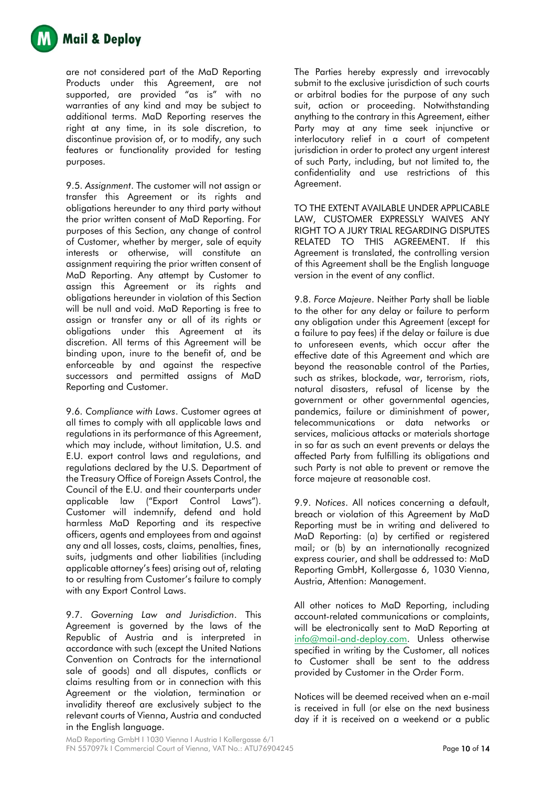

are not considered part of the MaD Reporting Products under this Agreement, are not supported, are provided "as is" with no warranties of any kind and may be subject to additional terms. MaD Reporting reserves the right at any time, in its sole discretion, to discontinue provision of, or to modify, any such features or functionality provided for testing purposes.

9.5. *Assignment*. The customer will not assign or transfer this Agreement or its rights and obligations hereunder to any third party without the prior written consent of MaD Reporting. For purposes of this Section, any change of control of Customer, whether by merger, sale of equity interests or otherwise, will constitute an assignment requiring the prior written consent of MaD Reporting. Any attempt by Customer to assign this Agreement or its rights and obligations hereunder in violation of this Section will be null and void. MaD Reporting is free to assign or transfer any or all of its rights or obligations under this Agreement at its discretion. All terms of this Agreement will be binding upon, inure to the benefit of, and be enforceable by and against the respective successors and permitted assigns of MaD Reporting and Customer.

9.6. *Compliance with Laws*. Customer agrees at all times to comply with all applicable laws and regulations in its performance of this Agreement, which may include, without limitation, U.S. and E.U. export control laws and regulations, and regulations declared by the U.S. Department of the Treasury Office of Foreign Assets Control, the Council of the E.U. and their counterparts under applicable law ("Export Control Laws"). Customer will indemnify, defend and hold harmless MaD Reporting and its respective officers, agents and employees from and against any and all losses, costs, claims, penalties, fines, suits, judgments and other liabilities (including applicable attorney's fees) arising out of, relating to or resulting from Customer's failure to comply with any Export Control Laws.

9.7. *Governing Law and Jurisdiction*. This Agreement is governed by the laws of the Republic of Austria and is interpreted in accordance with such (except the United Nations Convention on Contracts for the international sale of goods) and all disputes, conflicts or claims resulting from or in connection with this Agreement or the violation, termination or invalidity thereof are exclusively subject to the relevant courts of Vienna, Austria and conducted in the English language.

The Parties hereby expressly and irrevocably submit to the exclusive jurisdiction of such courts or arbitral bodies for the purpose of any such suit, action or proceeding. Notwithstanding anything to the contrary in this Agreement, either Party may at any time seek injunctive or interlocutory relief in a court of competent jurisdiction in order to protect any urgent interest of such Party, including, but not limited to, the confidentiality and use restrictions of this Agreement.

TO THE EXTENT AVAILABLE UNDER APPLICABLE LAW, CUSTOMER EXPRESSLY WAIVES ANY RIGHT TO A JURY TRIAL REGARDING DISPUTES RELATED TO THIS AGREEMENT. If this Agreement is translated, the controlling version of this Agreement shall be the English language version in the event of any conflict.

9.8. *Force Majeure*. Neither Party shall be liable to the other for any delay or failure to perform any obligation under this Agreement (except for a failure to pay fees) if the delay or failure is due to unforeseen events, which occur after the effective date of this Agreement and which are beyond the reasonable control of the Parties, such as strikes, blockade, war, terrorism, riots, natural disasters, refusal of license by the government or other governmental agencies, pandemics, failure or diminishment of power, telecommunications or data networks or services, malicious attacks or materials shortage in so far as such an event prevents or delays the affected Party from fulfilling its obligations and such Party is not able to prevent or remove the force majeure at reasonable cost.

9.9. *Notices*. All notices concerning a default, breach or violation of this Agreement by MaD Reporting must be in writing and delivered to MaD Reporting: (a) by certified or registered mail; or (b) by an internationally recognized express courier, and shall be addressed to: MaD Reporting GmbH, Kollergasse 6, 1030 Vienna, Austria, Attention: Management.

All other notices to MaD Reporting, including account-related communications or complaints, will be electronically sent to MaD Reporting at [info@mail-and-deploy.com.](mailto:info@mail-and-deploy.com) Unless otherwise specified in writing by the Customer, all notices to Customer shall be sent to the address provided by Customer in the Order Form.

Notices will be deemed received when an e-mail is received in full (or else on the next business day if it is received on a weekend or a public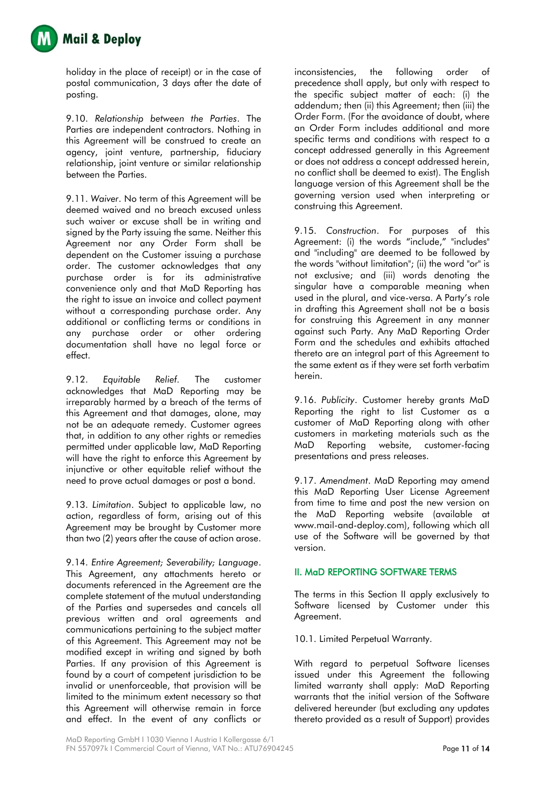

holiday in the place of receipt) or in the case of postal communication, 3 days after the date of posting.

9.10. *Relationship between the Parties*. The Parties are independent contractors. Nothing in this Agreement will be construed to create an agency, joint venture, partnership, fiduciary relationship, joint venture or similar relationship between the Parties.

9.11. *Waiver*. No term of this Agreement will be deemed waived and no breach excused unless such waiver or excuse shall be in writing and signed by the Party issuing the same. Neither this Agreement nor any Order Form shall be dependent on the Customer issuing a purchase order. The customer acknowledges that any purchase order is for its administrative convenience only and that MaD Reporting has the right to issue an invoice and collect payment without a corresponding purchase order. Any additional or conflicting terms or conditions in any purchase order or other ordering documentation shall have no legal force or effect.

9.12. *Equitable Relief.* The customer acknowledges that MaD Reporting may be irreparably harmed by a breach of the terms of this Agreement and that damages, alone, may not be an adequate remedy. Customer agrees that, in addition to any other rights or remedies permitted under applicable law, MaD Reporting will have the right to enforce this Agreement by injunctive or other equitable relief without the need to prove actual damages or post a bond.

9.13. *Limitation*. Subject to applicable law, no action, regardless of form, arising out of this Agreement may be brought by Customer more than two (2) years after the cause of action arose.

9.14. *Entire Agreement; Severability; Language*. This Agreement, any attachments hereto or documents referenced in the Agreement are the complete statement of the mutual understanding of the Parties and supersedes and cancels all previous written and oral agreements and communications pertaining to the subject matter of this Agreement. This Agreement may not be modified except in writing and signed by both Parties. If any provision of this Agreement is found by a court of competent jurisdiction to be invalid or unenforceable, that provision will be limited to the minimum extent necessary so that this Agreement will otherwise remain in force and effect. In the event of any conflicts or

inconsistencies, the following order of precedence shall apply, but only with respect to the specific subject matter of each: (i) the addendum; then (ii) this Agreement; then (iii) the Order Form. (For the avoidance of doubt, where an Order Form includes additional and more specific terms and conditions with respect to a concept addressed generally in this Agreement or does not address a concept addressed herein, no conflict shall be deemed to exist). The English language version of this Agreement shall be the governing version used when interpreting or construing this Agreement.

9.15. *Construction*. For purposes of this Agreement: (i) the words "include," "includes" and "including" are deemed to be followed by the words "without limitation"; (ii) the word "or" is not exclusive; and (iii) words denoting the singular have a comparable meaning when used in the plural, and vice-versa. A Party's role in drafting this Agreement shall not be a basis for construing this Agreement in any manner against such Party. Any MaD Reporting Order Form and the schedules and exhibits attached thereto are an integral part of this Agreement to the same extent as if they were set forth verbatim herein.

9.16. *Publicity*. Customer hereby grants MaD Reporting the right to list Customer as a customer of MaD Reporting along with other customers in marketing materials such as the MaD Reporting website, customer-facing presentations and press releases.

9.17. *Amendment*. MaD Reporting may amend this MaD Reporting User License Agreement from time to time and post the new version on the MaD Reporting website (available at www.mail-and-deploy.com), following which all use of the Software will be governed by that version.

## II. MaD REPORTING SOFTWARE TERMS

The terms in this Section II apply exclusively to Software licensed by Customer under this Agreement.

10.1. Limited Perpetual Warranty.

With regard to perpetual Software licenses issued under this Agreement the following limited warranty shall apply: MaD Reporting warrants that the initial version of the Software delivered hereunder (but excluding any updates thereto provided as a result of Support) provides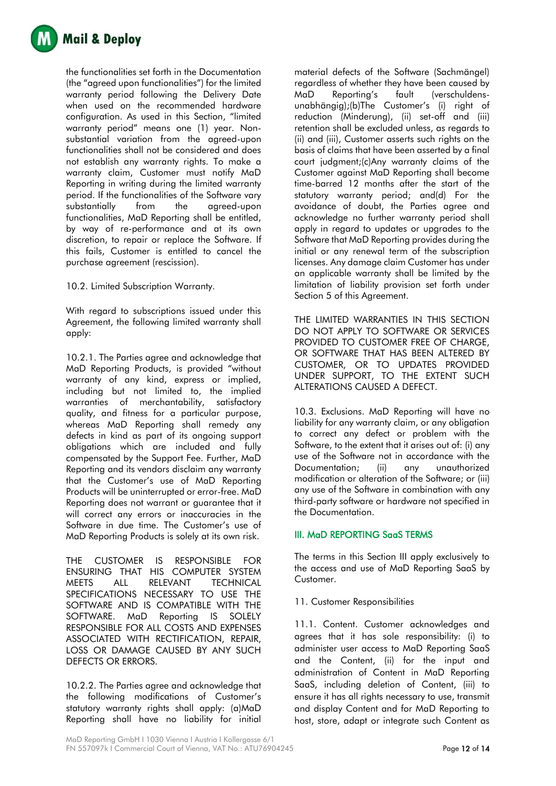

the functionalities set forth in the Documentation (the "agreed upon functionalities") for the limited warranty period following the Delivery Date when used on the recommended hardware configuration. As used in this Section, "limited warranty period" means one (1) year. Nonsubstantial variation from the agreed-upon functionalities shall not be considered and does not establish any warranty rights. To make a warranty claim, Customer must notify MaD Reporting in writing during the limited warranty period. If the functionalities of the Software vary substantially from the agreed-upon functionalities, MaD Reporting shall be entitled, by way of re-performance and at its own discretion, to repair or replace the Software. If this fails, Customer is entitled to cancel the purchase agreement (rescission).

10.2. Limited Subscription Warranty.

With regard to subscriptions issued under this Agreement, the following limited warranty shall apply:

10.2.1. The Parties agree and acknowledge that MaD Reporting Products, is provided "without warranty of any kind, express or implied, including but not limited to, the implied warranties of merchantability, satisfactory quality, and fitness for a particular purpose, whereas MaD Reporting shall remedy any defects in kind as part of its ongoing support obligations which are included and fully compensated by the Support Fee. Further, MaD Reporting and its vendors disclaim any warranty that the Customer's use of MaD Reporting Products will be uninterrupted or error-free. MaD Reporting does not warrant or guarantee that it will correct any errors or inaccuracies in the Software in due time. The Customer's use of MaD Reporting Products is solely at its own risk.

THE CUSTOMER IS RESPONSIBLE FOR ENSURING THAT HIS COMPUTER SYSTEM MEETS ALL RELEVANT TECHNICAL SPECIFICATIONS NECESSARY TO USE THE SOFTWARE AND IS COMPATIBLE WITH THE SOFTWARE. MaD Reporting IS SOLELY RESPONSIBLE FOR ALL COSTS AND EXPENSES ASSOCIATED WITH RECTIFICATION, REPAIR, LOSS OR DAMAGE CAUSED BY ANY SUCH DEFECTS OR ERRORS.

10.2.2. The Parties agree and acknowledge that the following modifications of Customer's statutory warranty rights shall apply: (a)MaD Reporting shall have no liability for initial material defects of the Software (Sachmängel) regardless of whether they have been caused by MaD Reporting's fault (verschuldensunabhängig);(b)The Customer's (i) right of reduction (Minderung), (ii) set-off and (iii) retention shall be excluded unless, as regards to (ii) and (iii), Customer asserts such rights on the basis of claims that have been asserted by a final court judgment;(c)Any warranty claims of the Customer against MaD Reporting shall become time-barred 12 months after the start of the statutory warranty period; and(d) For the avoidance of doubt, the Parties agree and acknowledge no further warranty period shall apply in regard to updates or upgrades to the Software that MaD Reporting provides during the initial or any renewal term of the subscription licenses. Any damage claim Customer has under an applicable warranty shall be limited by the limitation of liability provision set forth under Section 5 of this Agreement.

THE LIMITED WARRANTIES IN THIS SECTION DO NOT APPLY TO SOFTWARE OR SERVICES PROVIDED TO CUSTOMER FREE OF CHARGE, OR SOFTWARE THAT HAS BEEN ALTERED BY CUSTOMER, OR TO UPDATES PROVIDED UNDER SUPPORT, TO THE EXTENT SUCH ALTERATIONS CAUSED A DEFECT.

10.3. Exclusions. MaD Reporting will have no liability for any warranty claim, or any obligation to correct any defect or problem with the Software, to the extent that it arises out of: (i) any use of the Software not in accordance with the Documentation; (ii) any unauthorized modification or alteration of the Software; or (iii) any use of the Software in combination with any third-party software or hardware not specified in the Documentation.

# III. MaD REPORTING SaaS TERMS

The terms in this Section III apply exclusively to the access and use of MaD Reporting SaaS by Customer.

## 11. Customer Responsibilities

11.1. Content. Customer acknowledges and agrees that it has sole responsibility: (i) to administer user access to MaD Reporting SaaS and the Content, (ii) for the input and administration of Content in MaD Reporting SaaS, including deletion of Content, (iii) to ensure it has all rights necessary to use, transmit and display Content and for MaD Reporting to host, store, adapt or integrate such Content as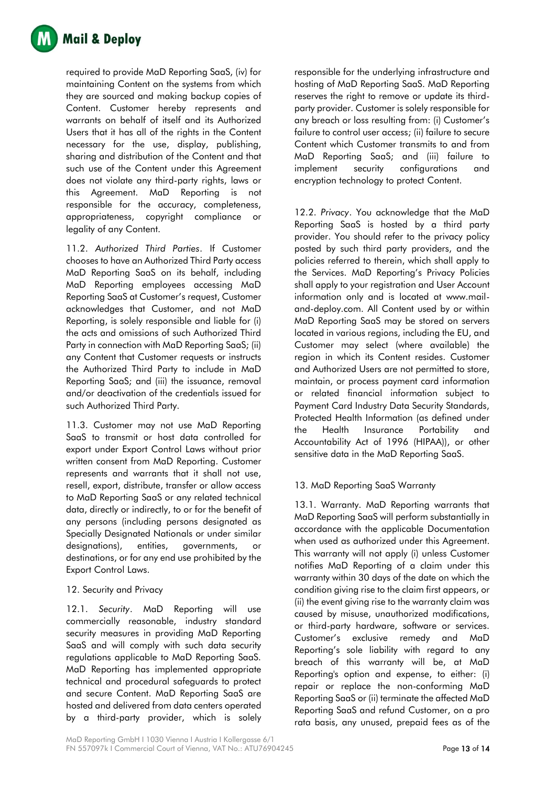

required to provide MaD Reporting SaaS, (iv) for maintaining Content on the systems from which they are sourced and making backup copies of Content. Customer hereby represents and warrants on behalf of itself and its Authorized Users that it has all of the rights in the Content necessary for the use, display, publishing, sharing and distribution of the Content and that such use of the Content under this Agreement does not violate any third-party rights, laws or this Agreement. MaD Reporting is not responsible for the accuracy, completeness, appropriateness, copyright compliance or legality of any Content.

11.2. *Authorized Third Parties*. If Customer chooses to have an Authorized Third Party access MaD Reporting SaaS on its behalf, including MaD Reporting employees accessing MaD Reporting SaaS at Customer's request, Customer acknowledges that Customer, and not MaD Reporting, is solely responsible and liable for (i) the acts and omissions of such Authorized Third Party in connection with MaD Reporting SaaS; (ii) any Content that Customer requests or instructs the Authorized Third Party to include in MaD Reporting SaaS; and (iii) the issuance, removal and/or deactivation of the credentials issued for such Authorized Third Party.

11.3. Customer may not use MaD Reporting SaaS to transmit or host data controlled for export under Export Control Laws without prior written consent from MaD Reporting. Customer represents and warrants that it shall not use, resell, export, distribute, transfer or allow access to MaD Reporting SaaS or any related technical data, directly or indirectly, to or for the benefit of any persons (including persons designated as Specially Designated Nationals or under similar designations), entities, governments, or destinations, or for any end use prohibited by the Export Control Laws.

## 12. Security and Privacy

12.1. *Security*. MaD Reporting will use commercially reasonable, industry standard security measures in providing MaD Reporting SaaS and will comply with such data security regulations applicable to MaD Reporting SaaS. MaD Reporting has implemented appropriate technical and procedural safeguards to protect and secure Content. MaD Reporting SaaS are hosted and delivered from data centers operated by a third-party provider, which is solely responsible for the underlying infrastructure and hosting of MaD Reporting SaaS. MaD Reporting reserves the right to remove or update its thirdparty provider. Customer is solely responsible for any breach or loss resulting from: (i) Customer's failure to control user access; (ii) failure to secure Content which Customer transmits to and from MaD Reporting SaaS; and (iii) failure to implement security configurations and encryption technology to protect Content.

12.2. *Privacy*. You acknowledge that the MaD Reporting SaaS is hosted by a third party provider. You should refer to the privacy policy posted by such third party providers, and the policies referred to therein, which shall apply to the Services. MaD Reporting's Privacy Policies shall apply to your registration and User Account information only and is located at www.mailand-deploy.com. All Content used by or within MaD Reporting SaaS may be stored on servers located in various regions, including the EU, and Customer may select (where available) the region in which its Content resides. Customer and Authorized Users are not permitted to store, maintain, or process payment card information or related financial information subject to Payment Card Industry Data Security Standards, Protected Health Information (as defined under the Health Insurance Portability and Accountability Act of 1996 (HIPAA)), or other sensitive data in the MaD Reporting SaaS.

# 13. MaD Reporting SaaS Warranty

13.1. Warranty. MaD Reporting warrants that MaD Reporting SaaS will perform substantially in accordance with the applicable Documentation when used as authorized under this Agreement. This warranty will not apply (i) unless Customer notifies MaD Reporting of a claim under this warranty within 30 days of the date on which the condition giving rise to the claim first appears, or (ii) the event giving rise to the warranty claim was caused by misuse, unauthorized modifications, or third-party hardware, software or services. Customer's exclusive remedy and MaD Reporting's sole liability with regard to any breach of this warranty will be, at MaD Reporting's option and expense, to either: (i) repair or replace the non-conforming MaD Reporting SaaS or (ii) terminate the affected MaD Reporting SaaS and refund Customer, on a pro rata basis, any unused, prepaid fees as of the